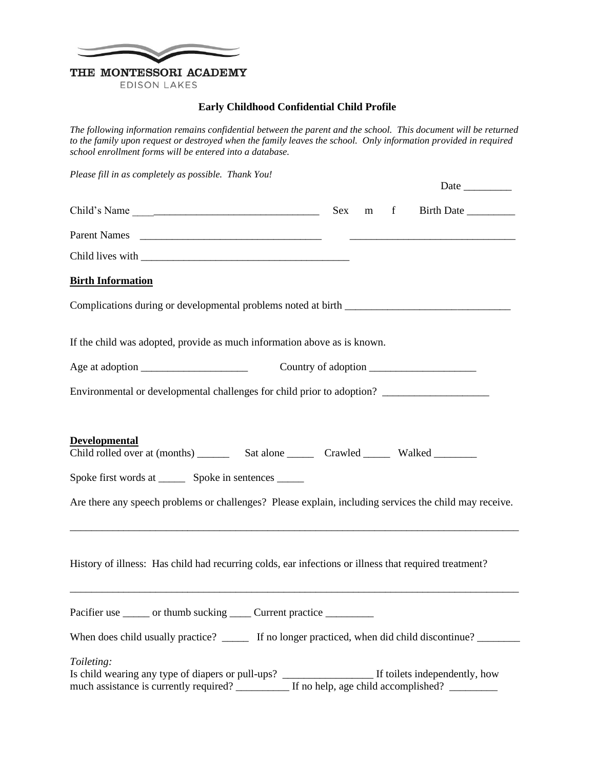

**EDISON LAKES** 

## **Early Childhood Confidential Child Profile**

*The following information remains confidential between the parent and the school. This document will be returned*  to the family upon request or destroyed when the family leaves the school. Only information provided in required *school enrollment forms will be entered into a database.*

| Please fill in as completely as possible. Thank You!                                                                                                                                      |         |                     |
|-------------------------------------------------------------------------------------------------------------------------------------------------------------------------------------------|---------|---------------------|
| Child's Name                                                                                                                                                                              | Sex m f |                     |
|                                                                                                                                                                                           |         |                     |
|                                                                                                                                                                                           |         |                     |
| <b>Birth Information</b>                                                                                                                                                                  |         |                     |
| Complications during or developmental problems noted at birth __________________                                                                                                          |         |                     |
| If the child was adopted, provide as much information above as is known.                                                                                                                  |         |                     |
|                                                                                                                                                                                           |         | Country of adoption |
| Environmental or developmental challenges for child prior to adoption? _____________________________                                                                                      |         |                     |
| <b>Developmental</b><br>Spoke first words at ________ Spoke in sentences ______<br>Are there any speech problems or challenges? Please explain, including services the child may receive. |         |                     |
| History of illness: Has child had recurring colds, ear infections or illness that required treatment?                                                                                     |         |                     |
| Pacifier use ______ or thumb sucking _____ Current practice _________                                                                                                                     |         |                     |
| When does child usually practice? _______ If no longer practiced, when did child discontinue? _______                                                                                     |         |                     |
| Toileting:<br>much assistance is currently required? If no help, age child accomplished?                                                                                                  |         |                     |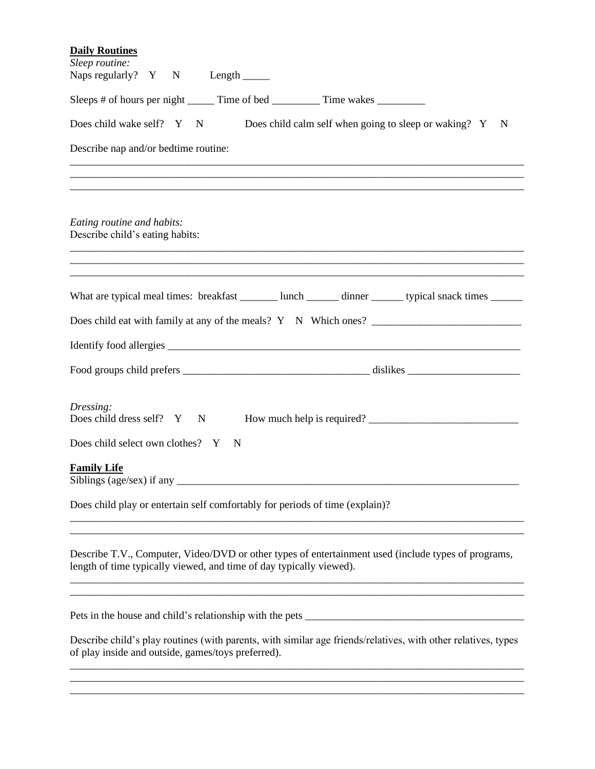| <b>Daily Routines</b>                                                                                                                                                                                                                     |  |  |  |  |  |  |  |  |  |  |  |
|-------------------------------------------------------------------------------------------------------------------------------------------------------------------------------------------------------------------------------------------|--|--|--|--|--|--|--|--|--|--|--|
| Sleep routine:<br>Naps regularly? $Y \tN$ Length ______                                                                                                                                                                                   |  |  |  |  |  |  |  |  |  |  |  |
| Sleeps # of hours per night ________ Time of bed ____________ Time wakes _________                                                                                                                                                        |  |  |  |  |  |  |  |  |  |  |  |
| Does child wake self? Y N Does child calm self when going to sleep or waking? Y N                                                                                                                                                         |  |  |  |  |  |  |  |  |  |  |  |
| Describe nap and/or bedtime routine:                                                                                                                                                                                                      |  |  |  |  |  |  |  |  |  |  |  |
|                                                                                                                                                                                                                                           |  |  |  |  |  |  |  |  |  |  |  |
| Eating routine and habits:<br>Describe child's eating habits:                                                                                                                                                                             |  |  |  |  |  |  |  |  |  |  |  |
| What are typical meal times: breakfast _______ lunch ______ dinner ______ typical snack times ______                                                                                                                                      |  |  |  |  |  |  |  |  |  |  |  |
|                                                                                                                                                                                                                                           |  |  |  |  |  |  |  |  |  |  |  |
|                                                                                                                                                                                                                                           |  |  |  |  |  |  |  |  |  |  |  |
|                                                                                                                                                                                                                                           |  |  |  |  |  |  |  |  |  |  |  |
| Dressing:<br>Does child dress self? Y N How much help is required?                                                                                                                                                                        |  |  |  |  |  |  |  |  |  |  |  |
| Does child select own clothes? Y N                                                                                                                                                                                                        |  |  |  |  |  |  |  |  |  |  |  |
| <b>Family Life</b><br>Siblings (age/sex) if any                                                                                                                                                                                           |  |  |  |  |  |  |  |  |  |  |  |
| Does child play or entertain self comfortably for periods of time (explain)?                                                                                                                                                              |  |  |  |  |  |  |  |  |  |  |  |
| Describe T.V., Computer, Video/DVD or other types of entertainment used (include types of programs,<br>length of time typically viewed, and time of day typically viewed).<br><u> 1989 - Johann Stoff, amerikansk politiker (d. 1989)</u> |  |  |  |  |  |  |  |  |  |  |  |
|                                                                                                                                                                                                                                           |  |  |  |  |  |  |  |  |  |  |  |
| Describe child's play routines (with parents, with similar age friends/relatives, with other relatives, types<br>of play inside and outside, games/toys preferred).                                                                       |  |  |  |  |  |  |  |  |  |  |  |
|                                                                                                                                                                                                                                           |  |  |  |  |  |  |  |  |  |  |  |
|                                                                                                                                                                                                                                           |  |  |  |  |  |  |  |  |  |  |  |